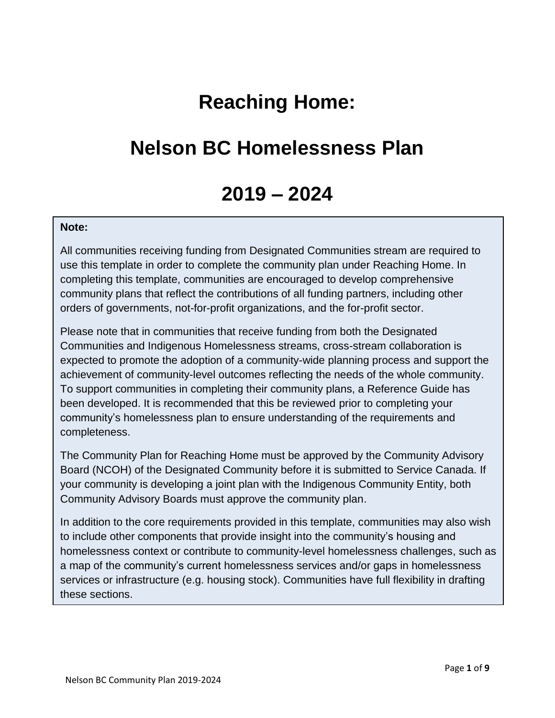# **Reaching Home:**

# **Nelson BC Homelessness Plan**

# **2019 – 2024**

#### **Note:**

All communities receiving funding from Designated Communities stream are required to use this template in order to complete the community plan under Reaching Home. In completing this template, communities are encouraged to develop comprehensive community plans that reflect the contributions of all funding partners, including other orders of governments, not-for-profit organizations, and the for-profit sector.

Please note that in communities that receive funding from both the Designated Communities and Indigenous Homelessness streams, cross-stream collaboration is expected to promote the adoption of a community-wide planning process and support the achievement of community-level outcomes reflecting the needs of the whole community. To support communities in completing their community plans, a Reference Guide has been developed. It is recommended that this be reviewed prior to completing your community's homelessness plan to ensure understanding of the requirements and completeness.

The Community Plan for Reaching Home must be approved by the Community Advisory Board (NCOH) of the Designated Community before it is submitted to Service Canada. If your community is developing a joint plan with the Indigenous Community Entity, both Community Advisory Boards must approve the community plan.

In addition to the core requirements provided in this template, communities may also wish to include other components that provide insight into the community's housing and homelessness context or contribute to community-level homelessness challenges, such as a map of the community's current homelessness services and/or gaps in homelessness services or infrastructure (e.g. housing stock). Communities have full flexibility in drafting these sections.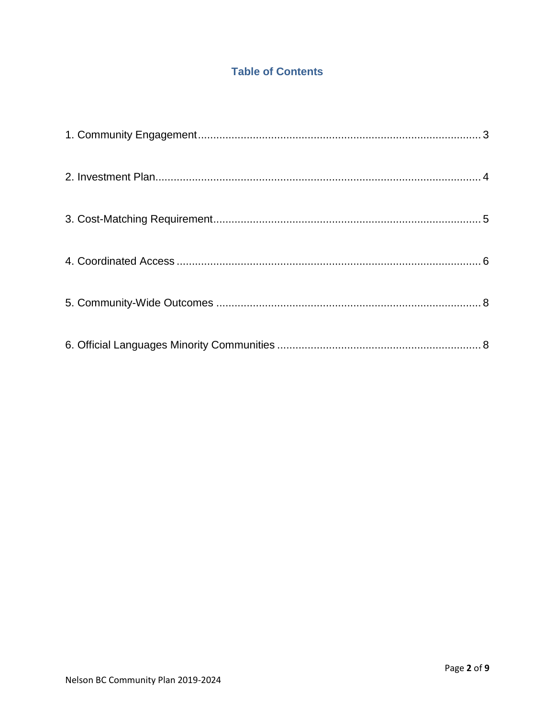# **Table of Contents**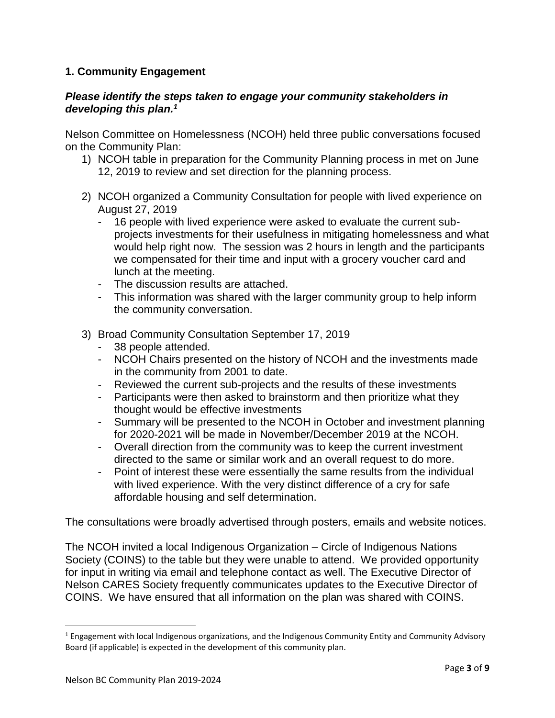## <span id="page-2-0"></span>**1. Community Engagement**

#### *Please identify the steps taken to engage your community stakeholders in developing this plan. 1*

Nelson Committee on Homelessness (NCOH) held three public conversations focused on the Community Plan:

- 1) NCOH table in preparation for the Community Planning process in met on June 12, 2019 to review and set direction for the planning process.
- 2) NCOH organized a Community Consultation for people with lived experience on August 27, 2019
	- 16 people with lived experience were asked to evaluate the current subprojects investments for their usefulness in mitigating homelessness and what would help right now. The session was 2 hours in length and the participants we compensated for their time and input with a grocery voucher card and lunch at the meeting.
	- The discussion results are attached.
	- This information was shared with the larger community group to help inform the community conversation.
- 3) Broad Community Consultation September 17, 2019
	- 38 people attended.
	- NCOH Chairs presented on the history of NCOH and the investments made in the community from 2001 to date.
	- Reviewed the current sub-projects and the results of these investments
	- Participants were then asked to brainstorm and then prioritize what they thought would be effective investments
	- Summary will be presented to the NCOH in October and investment planning for 2020-2021 will be made in November/December 2019 at the NCOH.
	- Overall direction from the community was to keep the current investment directed to the same or similar work and an overall request to do more.
	- Point of interest these were essentially the same results from the individual with lived experience. With the very distinct difference of a cry for safe affordable housing and self determination.

The consultations were broadly advertised through posters, emails and website notices.

The NCOH invited a local Indigenous Organization – Circle of Indigenous Nations Society (COINS) to the table but they were unable to attend. We provided opportunity for input in writing via email and telephone contact as well. The Executive Director of Nelson CARES Society frequently communicates updates to the Executive Director of COINS. We have ensured that all information on the plan was shared with COINS.

 $\overline{\phantom{a}}$ 

 $1$  Engagement with local Indigenous organizations, and the Indigenous Community Entity and Community Advisory Board (if applicable) is expected in the development of this community plan.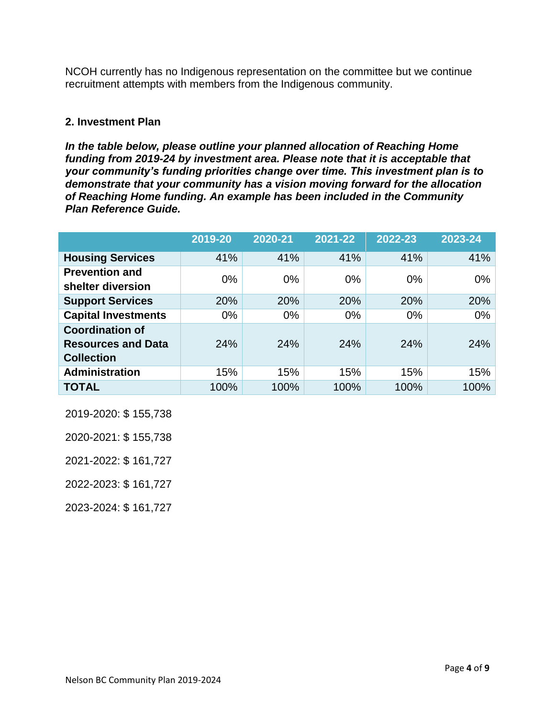NCOH currently has no Indigenous representation on the committee but we continue recruitment attempts with members from the Indigenous community.

### <span id="page-3-0"></span>**2. Investment Plan**

*In the table below, please outline your planned allocation of Reaching Home funding from 2019-24 by investment area. Please note that it is acceptable that your community's funding priorities change over time. This investment plan is to demonstrate that your community has a vision moving forward for the allocation of Reaching Home funding. An example has been included in the Community Plan Reference Guide.* 

|                                                                          | 2019-20 | 2020-21 | 2021-22 | 2022-23 | 2023-24 |
|--------------------------------------------------------------------------|---------|---------|---------|---------|---------|
| <b>Housing Services</b>                                                  | 41%     | 41%     | 41%     | 41%     | 41%     |
| <b>Prevention and</b><br>shelter diversion                               | 0%      | $0\%$   | $0\%$   | $0\%$   | $0\%$   |
| <b>Support Services</b>                                                  | 20%     | 20%     | 20%     | 20%     | 20%     |
| <b>Capital Investments</b>                                               | $0\%$   | $0\%$   | $0\%$   | $0\%$   | $0\%$   |
| <b>Coordination of</b><br><b>Resources and Data</b><br><b>Collection</b> | 24%     | 24%     | 24%     | 24%     | 24%     |
| <b>Administration</b>                                                    | 15%     | 15%     | 15%     | 15%     | 15%     |
| <b>TOTAL</b>                                                             | 100%    | 100%    | 100%    | 100%    | 100%    |

2019-2020: \$ 155,738

2020-2021: \$ 155,738

2021-2022: \$ 161,727

2022-2023: \$ 161,727

2023-2024: \$ 161,727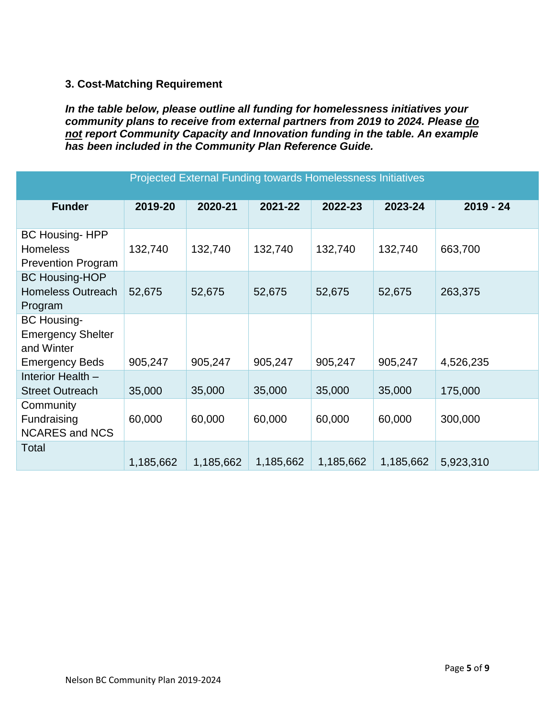## <span id="page-4-0"></span>**3. Cost-Matching Requirement**

*In the table below, please outline all funding for homelessness initiatives your community plans to receive from external partners from 2019 to 2024. Please do not report Community Capacity and Innovation funding in the table. An example has been included in the Community Plan Reference Guide.* 

<span id="page-4-1"></span>

| Projected External Funding towards Homelessness Initiatives                           |           |           |           |           |           |             |  |  |  |
|---------------------------------------------------------------------------------------|-----------|-----------|-----------|-----------|-----------|-------------|--|--|--|
| <b>Funder</b>                                                                         | 2019-20   | 2020-21   | 2021-22   | 2022-23   | 2023-24   | $2019 - 24$ |  |  |  |
| <b>BC Housing-HPP</b><br><b>Homeless</b><br><b>Prevention Program</b>                 | 132,740   | 132,740   | 132,740   | 132,740   | 132,740   | 663,700     |  |  |  |
| <b>BC Housing-HOP</b><br><b>Homeless Outreach</b><br>Program                          | 52,675    | 52,675    | 52,675    | 52,675    | 52,675    | 263,375     |  |  |  |
| <b>BC Housing-</b><br><b>Emergency Shelter</b><br>and Winter<br><b>Emergency Beds</b> | 905,247   | 905,247   | 905,247   | 905,247   | 905,247   | 4,526,235   |  |  |  |
| Interior Health -<br><b>Street Outreach</b>                                           | 35,000    | 35,000    | 35,000    | 35,000    | 35,000    | 175,000     |  |  |  |
| Community<br>Fundraising<br><b>NCARES and NCS</b>                                     | 60,000    | 60,000    | 60,000    | 60,000    | 60,000    | 300,000     |  |  |  |
| Total                                                                                 | 1,185,662 | 1,185,662 | 1,185,662 | 1,185,662 | 1,185,662 | 5,923,310   |  |  |  |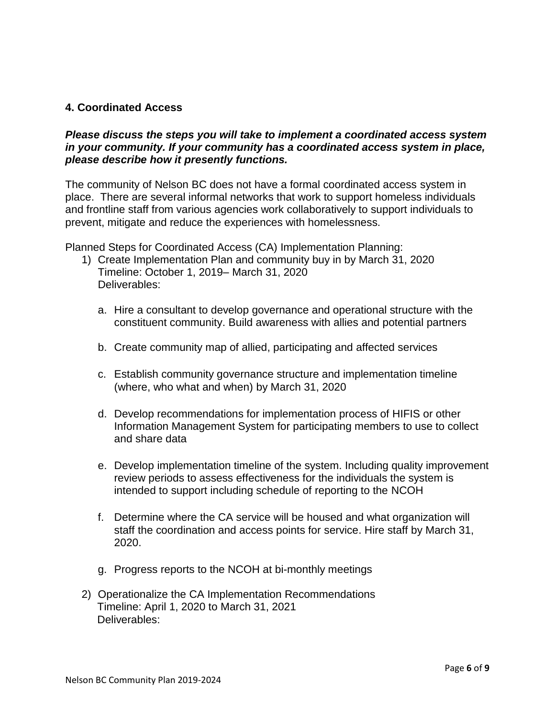### **4. Coordinated Access**

#### *Please discuss the steps you will take to implement a coordinated access system in your community. If your community has a coordinated access system in place, please describe how it presently functions.*

The community of Nelson BC does not have a formal coordinated access system in place. There are several informal networks that work to support homeless individuals and frontline staff from various agencies work collaboratively to support individuals to prevent, mitigate and reduce the experiences with homelessness.

Planned Steps for Coordinated Access (CA) Implementation Planning:

- 1) Create Implementation Plan and community buy in by March 31, 2020 Timeline: October 1, 2019– March 31, 2020 Deliverables:
	- a. Hire a consultant to develop governance and operational structure with the constituent community. Build awareness with allies and potential partners
	- b. Create community map of allied, participating and affected services
	- c. Establish community governance structure and implementation timeline (where, who what and when) by March 31, 2020
	- d. Develop recommendations for implementation process of HIFIS or other Information Management System for participating members to use to collect and share data
	- e. Develop implementation timeline of the system. Including quality improvement review periods to assess effectiveness for the individuals the system is intended to support including schedule of reporting to the NCOH
	- f. Determine where the CA service will be housed and what organization will staff the coordination and access points for service. Hire staff by March 31, 2020.
	- g. Progress reports to the NCOH at bi-monthly meetings
- 2) Operationalize the CA Implementation Recommendations Timeline: April 1, 2020 to March 31, 2021 Deliverables: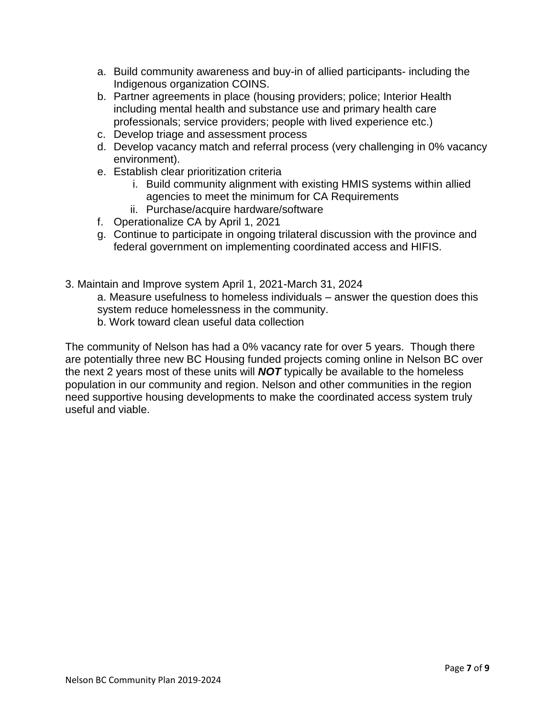- a. Build community awareness and buy-in of allied participants- including the Indigenous organization COINS.
- b. Partner agreements in place (housing providers; police; Interior Health including mental health and substance use and primary health care professionals; service providers; people with lived experience etc.)
- c. Develop triage and assessment process
- d. Develop vacancy match and referral process (very challenging in 0% vacancy environment).
- e. Establish clear prioritization criteria
	- i. Build community alignment with existing HMIS systems within allied agencies to meet the minimum for CA Requirements
	- ii. Purchase/acquire hardware/software
- f. Operationalize CA by April 1, 2021
- g. Continue to participate in ongoing trilateral discussion with the province and federal government on implementing coordinated access and HIFIS.
- 3. Maintain and Improve system April 1, 2021-March 31, 2024 a. Measure usefulness to homeless individuals – answer the question does this system reduce homelessness in the community. b. Work toward clean useful data collection

The community of Nelson has had a 0% vacancy rate for over 5 years. Though there are potentially three new BC Housing funded projects coming online in Nelson BC over the next 2 years most of these units will *NOT* typically be available to the homeless population in our community and region. Nelson and other communities in the region need supportive housing developments to make the coordinated access system truly useful and viable.